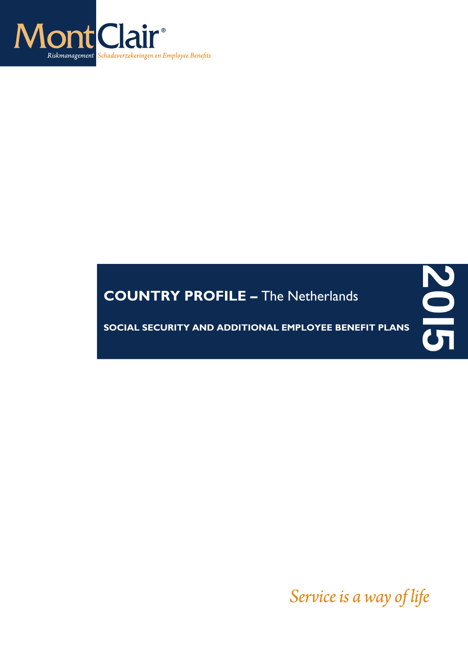

# **COUNTRY PROFILE –** The Netherlands

**SOCIAL SECURITY AND ADDITIONAL EMPLOYEE BENEFIT PLANS**

Service is a way of life

**20I5**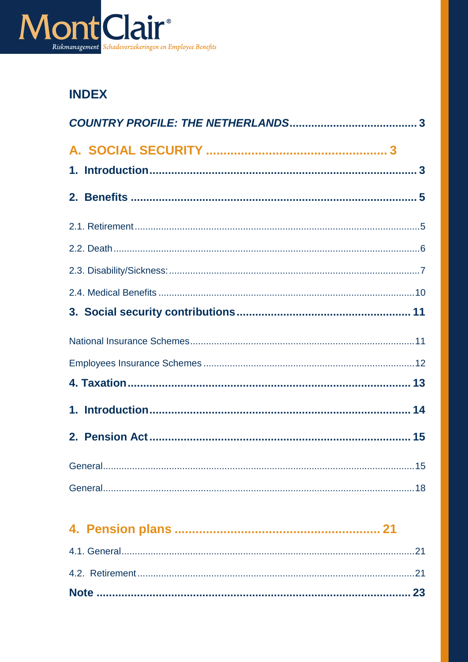

# **INDEX**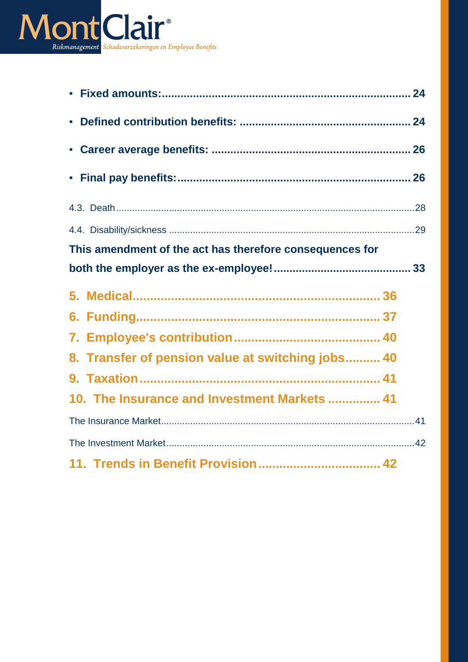

| This amendment of the act has therefore consequences for |
|----------------------------------------------------------|
|                                                          |
|                                                          |
|                                                          |
|                                                          |
|                                                          |
| 8. Transfer of pension value at switching jobs 40        |
|                                                          |
| 10. The Insurance and Investment Markets  41             |
|                                                          |
|                                                          |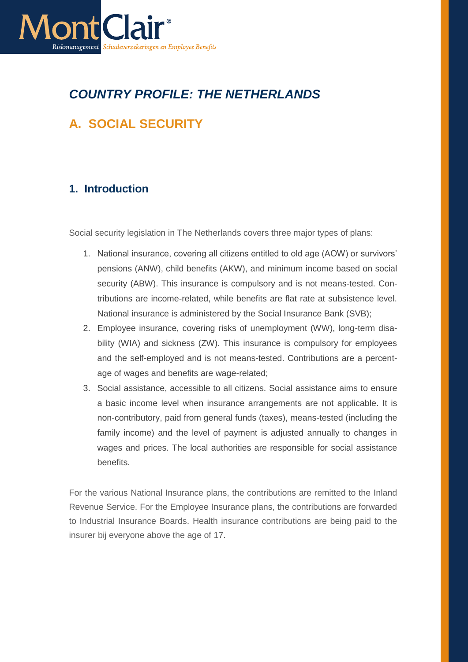

# <span id="page-3-0"></span>*COUNTRY PROFILE: THE NETHERLANDS*

# <span id="page-3-1"></span>**A. SOCIAL SECURITY**

# <span id="page-3-2"></span>**1. Introduction**

Social security legislation in The Netherlands covers three major types of plans:

- 1. National insurance, covering all citizens entitled to old age (AOW) or survivors' pensions (ANW), child benefits (AKW), and minimum income based on social security (ABW). This insurance is compulsory and is not means-tested. Contributions are income-related, while benefits are flat rate at subsistence level. National insurance is administered by the Social Insurance Bank (SVB);
- 2. Employee insurance, covering risks of unemployment (WW), long-term disability (WIA) and sickness (ZW). This insurance is compulsory for employees and the self-employed and is not means-tested. Contributions are a percentage of wages and benefits are wage-related;
- 3. Social assistance, accessible to all citizens. Social assistance aims to ensure a basic income level when insurance arrangements are not applicable. It is non-contributory, paid from general funds (taxes), means-tested (including the family income) and the level of payment is adjusted annually to changes in wages and prices. The local authorities are responsible for social assistance benefits.

For the various National Insurance plans, the contributions are remitted to the Inland Revenue Service. For the Employee Insurance plans, the contributions are forwarded to Industrial Insurance Boards. Health insurance contributions are being paid to the insurer bij everyone above the age of 17.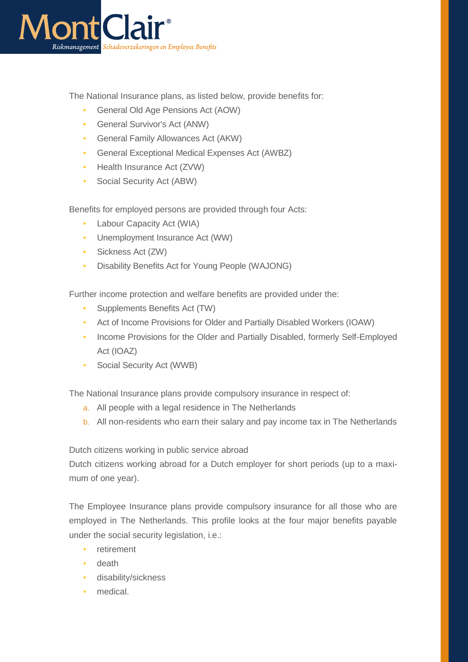

The National Insurance plans, as listed below, provide benefits for:

- General Old Age Pensions Act (AOW)
- General Survivor's Act (ANW)
- General Family Allowances Act (AKW)
- General Exceptional Medical Expenses Act (AWBZ)
- **•** Health Insurance Act (ZVW)
- Social Security Act (ABW)

Benefits for employed persons are provided through four Acts:

- **Labour Capacity Act (WIA)**
- Unemployment Insurance Act (WW)
- Sickness Act (ZW)
- Disability Benefits Act for Young People (WAJONG)

Further income protection and welfare benefits are provided under the:

- **Supplements Benefits Act (TW)**
- Act of Income Provisions for Older and Partially Disabled Workers (IOAW)
- **Income Provisions for the Older and Partially Disabled, formerly Self-Employed** Act (IOAZ)
- Social Security Act (WWB)

The National Insurance plans provide compulsory insurance in respect of:

- a. All people with a legal residence in The Netherlands
- b. All non-residents who earn their salary and pay income tax in The Netherlands

Dutch citizens working in public service abroad

Dutch citizens working abroad for a Dutch employer for short periods (up to a maximum of one year).

The Employee Insurance plans provide compulsory insurance for all those who are employed in The Netherlands. This profile looks at the four major benefits payable under the social security legislation, i.e.:

- retirement
- death
- disability/sickness
- medical.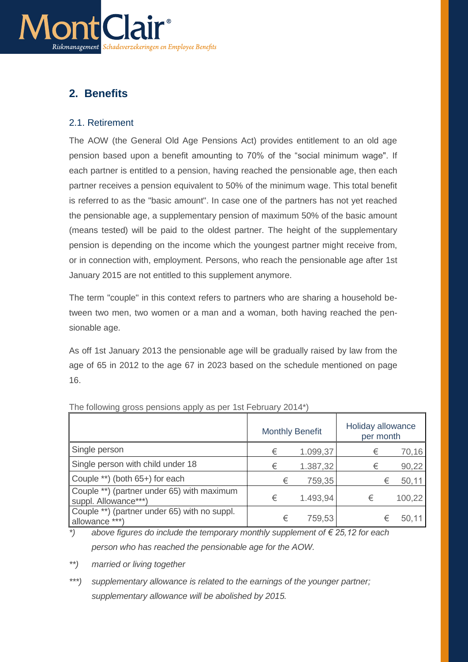

# <span id="page-5-0"></span>**2. Benefits**

### <span id="page-5-1"></span>2.1. Retirement

The AOW (the General Old Age Pensions Act) provides entitlement to an old age pension based upon a benefit amounting to 70% of the "social minimum wage". If each partner is entitled to a pension, having reached the pensionable age, then each partner receives a pension equivalent to 50% of the minimum wage. This total benefit is referred to as the "basic amount". In case one of the partners has not yet reached the pensionable age, a supplementary pension of maximum 50% of the basic amount (means tested) will be paid to the oldest partner. The height of the supplementary pension is depending on the income which the youngest partner might receive from, or in connection with, employment. Persons, who reach the pensionable age after 1st January 2015 are not entitled to this supplement anymore.

The term "couple" in this context refers to partners who are sharing a household between two men, two women or a man and a woman, both having reached the pensionable age.

As off 1st January 2013 the pensionable age will be gradually raised by law from the age of 65 in 2012 to the age 67 in 2023 based on the schedule mentioned on page 16.

|                                                                    |   | <b>Monthly Benefit</b> | Holiday allowance<br>per month |   |        |
|--------------------------------------------------------------------|---|------------------------|--------------------------------|---|--------|
| Single person                                                      | € | 1.099,37               | €                              |   | 70,16  |
| Single person with child under 18                                  | € | 1.387,32               | €                              |   | 90,22  |
| Couple **) (both 65+) for each                                     | € | 759,35                 |                                | € | 50,11  |
| Couple **) (partner under 65) with maximum<br>suppl. Allowance***) | € | 1.493,94               | €                              |   | 100,22 |
| Couple **) (partner under 65) with no suppl.<br>allowance ***)     | € | 759,53                 |                                | € | 50,11  |

The following gross pensions apply as per 1st February 2014\*)

*\*) above figures do include the temporary monthly supplement of € 25,12 for each person who has reached the pensionable age for the AOW.*

*\*\*) married or living together*

*\*\*\*) supplementary allowance is related to the earnings of the younger partner; supplementary allowance will be abolished by 2015.*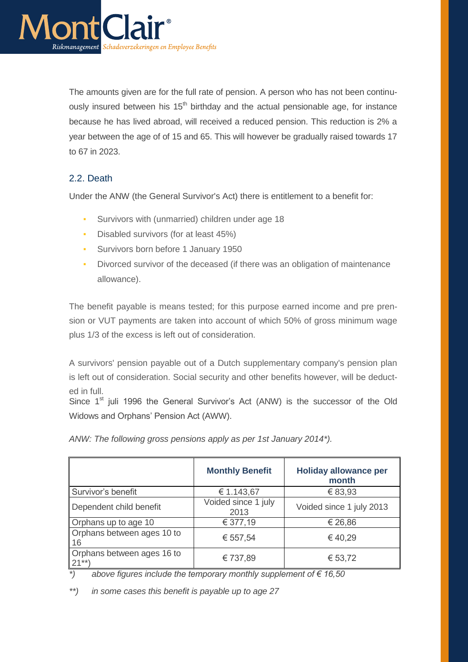

The amounts given are for the full rate of pension. A person who has not been continuously insured between his  $15<sup>th</sup>$  birthday and the actual pensionable age, for instance because he has lived abroad, will received a reduced pension. This reduction is 2% a year between the age of of 15 and 65. This will however be gradually raised towards 17 to 67 in 2023.

# <span id="page-6-0"></span>2.2. Death

Under the ANW (the General Survivor's Act) there is entitlement to a benefit for:

- **Survivors with (unmarried) children under age 18**
- **•** Disabled survivors (for at least 45%)
- **Survivors born before 1 January 1950**
- Divorced survivor of the deceased (if there was an obligation of maintenance allowance).

The benefit payable is means tested; for this purpose earned income and pre prension or VUT payments are taken into account of which 50% of gross minimum wage plus 1/3 of the excess is left out of consideration.

A survivors' pension payable out of a Dutch supplementary company's pension plan is left out of consideration. Social security and other benefits however, will be deducted in full.

Since  $1<sup>st</sup>$  juli 1996 the General Survivor's Act (ANW) is the successor of the Old Widows and Orphans' Pension Act (AWW).

|                                      | <b>Monthly Benefit</b>      | <b>Holiday allowance per</b><br>month |
|--------------------------------------|-----------------------------|---------------------------------------|
| Survivor's benefit                   | € 1.143,67                  | € 83,93                               |
| Dependent child benefit              | Voided since 1 july<br>2013 | Voided since 1 july 2013              |
| Orphans up to age 10                 | € 377,19                    | € 26,86                               |
| Orphans between ages 10 to<br>16     | € 557,54                    | €40,29                                |
| Orphans between ages 16 to<br>$21**$ | € 737,89                    | € 53,72                               |

*ANW: The following gross pensions apply as per 1st January 2014\*).*

*\*) above figures include the temporary monthly supplement of € 16,50* 

*\*\*) in some cases this benefit is payable up to age 27*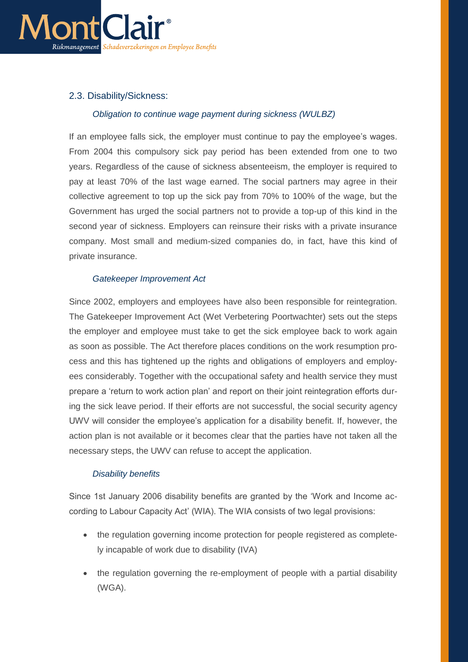

# <span id="page-7-0"></span>2.3. Disability/Sickness:

#### *Obligation to continue wage payment during sickness (WULBZ)*

If an employee falls sick, the employer must continue to pay the employee's wages. From 2004 this compulsory sick pay period has been extended from one to two years. Regardless of the cause of sickness absenteeism, the employer is required to pay at least 70% of the last wage earned. The social partners may agree in their collective agreement to top up the sick pay from 70% to 100% of the wage, but the Government has urged the social partners not to provide a top-up of this kind in the second year of sickness. Employers can reinsure their risks with a private insurance company. Most small and medium-sized companies do, in fact, have this kind of private insurance.

#### *Gatekeeper Improvement Act*

Since 2002, employers and employees have also been responsible for reintegration. The Gatekeeper Improvement Act (Wet Verbetering Poortwachter) sets out the steps the employer and employee must take to get the sick employee back to work again as soon as possible. The Act therefore places conditions on the work resumption process and this has tightened up the rights and obligations of employers and employees considerably. Together with the occupational safety and health service they must prepare a 'return to work action plan' and report on their joint reintegration efforts during the sick leave period. If their efforts are not successful, the social security agency UWV will consider the employee's application for a disability benefit. If, however, the action plan is not available or it becomes clear that the parties have not taken all the necessary steps, the UWV can refuse to accept the application.

#### *Disability benefits*

Since 1st January 2006 disability benefits are granted by the 'Work and Income according to Labour Capacity Act' (WIA). The WIA consists of two legal provisions:

- the regulation governing income protection for people registered as completely incapable of work due to disability (IVA)
- the regulation governing the re-employment of people with a partial disability (WGA).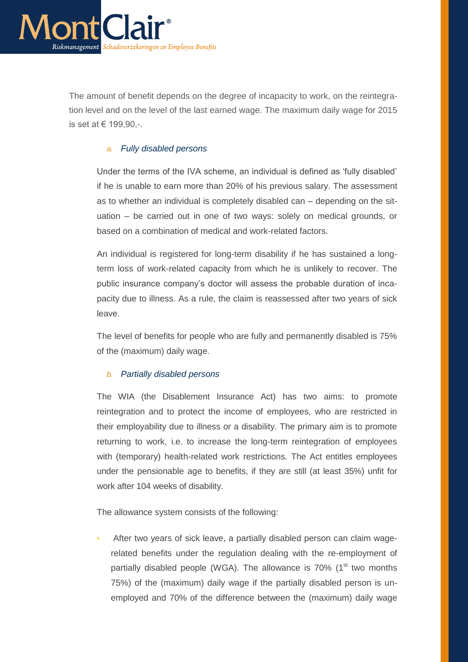

The amount of benefit depends on the degree of incapacity to work, on the reintegration level and on the level of the last earned wage. The maximum daily wage for 2015 is set at € 199,90,-.

### *a. Fully disabled persons*

Under the terms of the IVA scheme, an individual is defined as 'fully disabled' if he is unable to earn more than 20% of his previous salary. The assessment as to whether an individual is completely disabled can – depending on the situation – be carried out in one of two ways: solely on medical grounds, or based on a combination of medical and work-related factors.

An individual is registered for long-term disability if he has sustained a longterm loss of work-related capacity from which he is unlikely to recover. The public insurance company's doctor will assess the probable duration of incapacity due to illness. As a rule, the claim is reassessed after two years of sick leave.

The level of benefits for people who are fully and permanently disabled is 75% of the (maximum) daily wage.

#### *b. Partially disabled persons*

The WIA (the Disablement Insurance Act) has two aims: to promote reintegration and to protect the income of employees, who are restricted in their employability due to illness or a disability. The primary aim is to promote returning to work, i.e. to increase the long-term reintegration of employees with (temporary) health-related work restrictions. The Act entitles employees under the pensionable age to benefits, if they are still (at least 35%) unfit for work after 104 weeks of disability.

The allowance system consists of the following:

After two years of sick leave, a partially disabled person can claim wagerelated benefits under the regulation dealing with the re-employment of partially disabled people (WGA). The allowance is  $70\%$  (1<sup>st</sup> two months 75%) of the (maximum) daily wage if the partially disabled person is unemployed and 70% of the difference between the (maximum) daily wage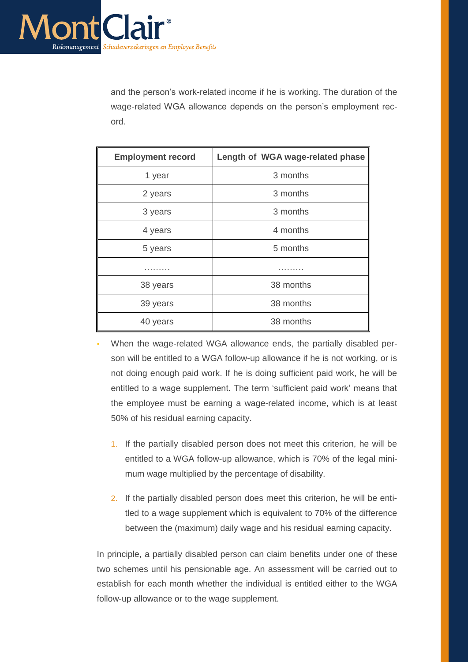

and the person's work-related income if he is working. The duration of the wage-related WGA allowance depends on the person's employment record.

| <b>Employment record</b> | Length of WGA wage-related phase |
|--------------------------|----------------------------------|
| 1 year                   | 3 months                         |
| 2 years                  | 3 months                         |
| 3 years                  | 3 months                         |
| 4 years                  | 4 months                         |
| 5 years                  | 5 months                         |
|                          |                                  |
| 38 years                 | 38 months                        |
| 39 years                 | 38 months                        |
| 40 years                 | 38 months                        |

- When the wage-related WGA allowance ends, the partially disabled person will be entitled to a WGA follow-up allowance if he is not working, or is not doing enough paid work. If he is doing sufficient paid work, he will be entitled to a wage supplement. The term 'sufficient paid work' means that the employee must be earning a wage-related income, which is at least 50% of his residual earning capacity.
	- 1. If the partially disabled person does not meet this criterion, he will be entitled to a WGA follow-up allowance, which is 70% of the legal minimum wage multiplied by the percentage of disability.
	- 2. If the partially disabled person does meet this criterion, he will be entitled to a wage supplement which is equivalent to 70% of the difference between the (maximum) daily wage and his residual earning capacity.

In principle, a partially disabled person can claim benefits under one of these two schemes until his pensionable age. An assessment will be carried out to establish for each month whether the individual is entitled either to the WGA follow-up allowance or to the wage supplement.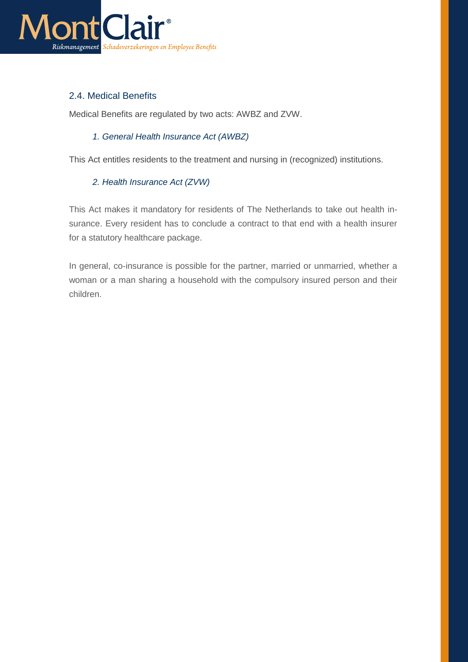

# <span id="page-10-0"></span>2.4. Medical Benefits

Medical Benefits are regulated by two acts: AWBZ and ZVW.

### *1. General Health Insurance Act (AWBZ)*

This Act entitles residents to the treatment and nursing in (recognized) institutions.

## *2. Health Insurance Act (ZVW)*

This Act makes it mandatory for residents of The Netherlands to take out health insurance. Every resident has to conclude a contract to that end with a health insurer for a statutory healthcare package.

In general, co-insurance is possible for the partner, married or unmarried, whether a woman or a man sharing a household with the compulsory insured person and their children.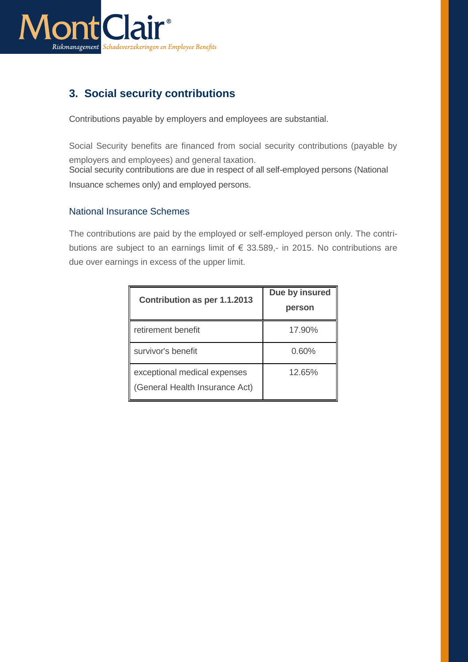

# <span id="page-11-0"></span>**3. Social security contributions**

Contributions payable by employers and employees are substantial.

Social Security benefits are financed from social security contributions (payable by employers and employees) and general taxation. Social security contributions are due in respect of all self-employed persons (National

Insuance schemes only) and employed persons.

## <span id="page-11-1"></span>National Insurance Schemes

The contributions are paid by the employed or self-employed person only. The contributions are subject to an earnings limit of € 33.589,- in 2015. No contributions are due over earnings in excess of the upper limit.

| Contribution as per 1.1.2013                                   | Due by insured<br>person |
|----------------------------------------------------------------|--------------------------|
| retirement benefit                                             | 17.90%                   |
| survivor's benefit                                             | 0.60%                    |
| exceptional medical expenses<br>(General Health Insurance Act) | 12.65%                   |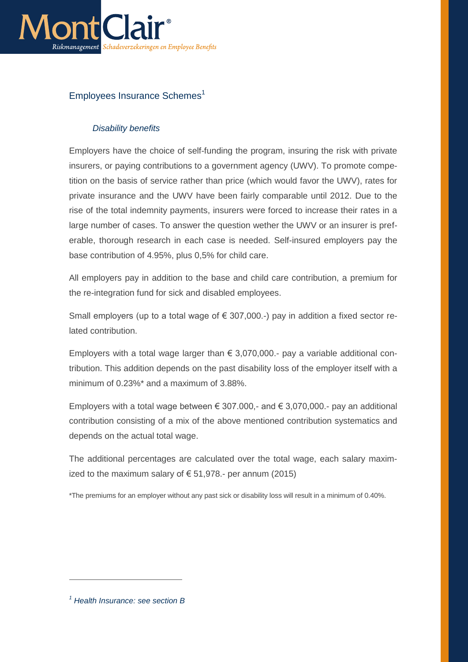

# <span id="page-12-0"></span>Employees Insurance Schemes<sup>1</sup>

# *Disability benefits*

Employers have the choice of self-funding the program, insuring the risk with private insurers, or paying contributions to a government agency (UWV). To promote competition on the basis of service rather than price (which would favor the UWV), rates for private insurance and the UWV have been fairly comparable until 2012. Due to the rise of the total indemnity payments, insurers were forced to increase their rates in a large number of cases. To answer the question wether the UWV or an insurer is preferable, thorough research in each case is needed. Self-insured employers pay the base contribution of 4.95%, plus 0,5% for child care.

All employers pay in addition to the base and child care contribution, a premium for the re-integration fund for sick and disabled employees.

Small employers (up to a total wage of  $\epsilon$  307,000.-) pay in addition a fixed sector related contribution.

Employers with a total wage larger than  $\epsilon$  3,070,000.- pay a variable additional contribution. This addition depends on the past disability loss of the employer itself with a minimum of 0.23%\* and a maximum of 3.88%.

Employers with a total wage between  $\epsilon$  307.000,- and  $\epsilon$  3,070,000.- pay an additional contribution consisting of a mix of the above mentioned contribution systematics and depends on the actual total wage.

The additional percentages are calculated over the total wage, each salary maximized to the maximum salary of  $\epsilon$  51,978.- per annum (2015)

\*The premiums for an employer without any past sick or disability loss will result in a minimum of 0.40%.

 $\overline{a}$ 

*<sup>1</sup> Health Insurance: see section B*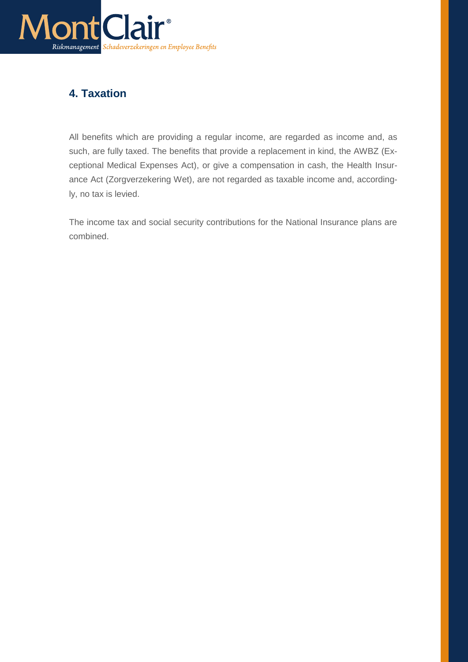

# <span id="page-13-0"></span>**4. Taxation**

All benefits which are providing a regular income, are regarded as income and, as such, are fully taxed. The benefits that provide a replacement in kind, the AWBZ (Exceptional Medical Expenses Act), or give a compensation in cash, the Health Insurance Act (Zorgverzekering Wet), are not regarded as taxable income and, accordingly, no tax is levied.

The income tax and social security contributions for the National Insurance plans are combined.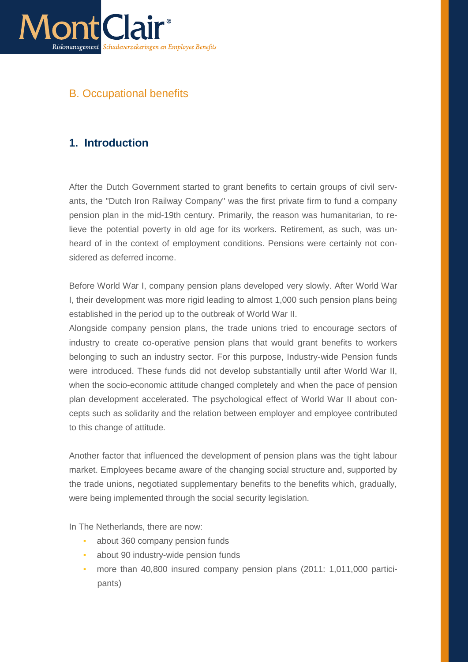

# B. Occupational benefits

# <span id="page-14-0"></span>**1. Introduction**

After the Dutch Government started to grant benefits to certain groups of civil servants, the "Dutch Iron Railway Company" was the first private firm to fund a company pension plan in the mid-19th century. Primarily, the reason was humanitarian, to relieve the potential poverty in old age for its workers. Retirement, as such, was unheard of in the context of employment conditions. Pensions were certainly not considered as deferred income.

Before World War I, company pension plans developed very slowly. After World War I, their development was more rigid leading to almost 1,000 such pension plans being established in the period up to the outbreak of World War II.

Alongside company pension plans, the trade unions tried to encourage sectors of industry to create co-operative pension plans that would grant benefits to workers belonging to such an industry sector. For this purpose, Industry-wide Pension funds were introduced. These funds did not develop substantially until after World War II, when the socio-economic attitude changed completely and when the pace of pension plan development accelerated. The psychological effect of World War II about concepts such as solidarity and the relation between employer and employee contributed to this change of attitude.

Another factor that influenced the development of pension plans was the tight labour market. Employees became aware of the changing social structure and, supported by the trade unions, negotiated supplementary benefits to the benefits which, gradually, were being implemented through the social security legislation.

In The Netherlands, there are now:

- about 360 company pension funds
- about 90 industry-wide pension funds
- more than 40,800 insured company pension plans (2011: 1,011,000 participants)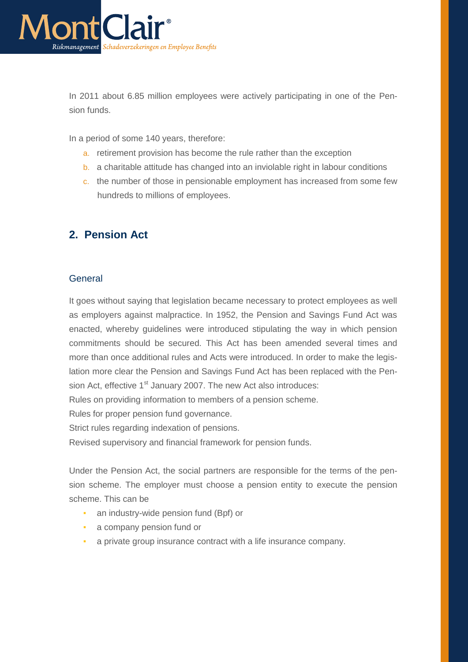

In 2011 about 6.85 million employees were actively participating in one of the Pension funds.

In a period of some 140 years, therefore:

- a. retirement provision has become the rule rather than the exception
- b. a charitable attitude has changed into an inviolable right in labour conditions
- c. the number of those in pensionable employment has increased from some few hundreds to millions of employees.

# <span id="page-15-0"></span>**2. Pension Act**

#### <span id="page-15-1"></span>General

It goes without saying that legislation became necessary to protect employees as well as employers against malpractice. In 1952, the Pension and Savings Fund Act was enacted, whereby guidelines were introduced stipulating the way in which pension commitments should be secured. This Act has been amended several times and more than once additional rules and Acts were introduced. In order to make the legislation more clear the Pension and Savings Fund Act has been replaced with the Pension Act, effective 1<sup>st</sup> January 2007. The new Act also introduces:

Rules on providing information to members of a pension scheme.

Rules for proper pension fund governance.

Strict rules regarding indexation of pensions.

Revised supervisory and financial framework for pension funds.

Under the Pension Act, the social partners are responsible for the terms of the pension scheme. The employer must choose a pension entity to execute the pension scheme. This can be

- **an industry-wide pension fund (Bpf) or**
- a company pension fund or
- a private group insurance contract with a life insurance company.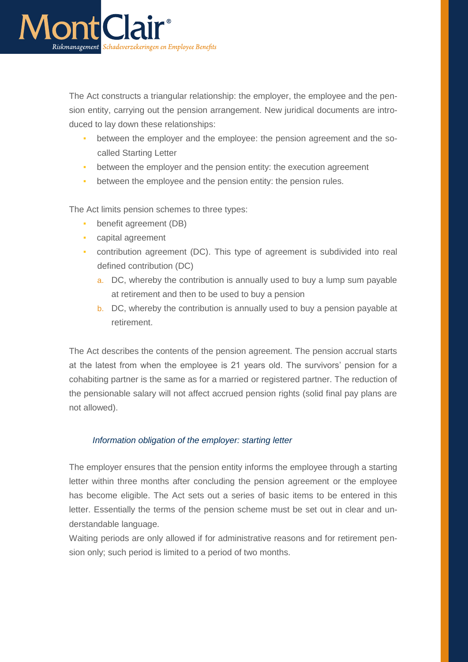

The Act constructs a triangular relationship: the employer, the employee and the pension entity, carrying out the pension arrangement. New juridical documents are introduced to lay down these relationships:

- between the employer and the employee: the pension agreement and the socalled Starting Letter
- **•** between the employer and the pension entity: the execution agreement
- **•** between the employee and the pension entity: the pension rules.

The Act limits pension schemes to three types:

- **•** benefit agreement (DB)
- capital agreement
- contribution agreement (DC). This type of agreement is subdivided into real defined contribution (DC)
	- a. DC, whereby the contribution is annually used to buy a lump sum payable at retirement and then to be used to buy a pension
	- b. DC, whereby the contribution is annually used to buy a pension payable at retirement.

The Act describes the contents of the pension agreement. The pension accrual starts at the latest from when the employee is 21 years old. The survivors' pension for a cohabiting partner is the same as for a married or registered partner. The reduction of the pensionable salary will not affect accrued pension rights (solid final pay plans are not allowed).

#### *Information obligation of the employer: starting letter*

The employer ensures that the pension entity informs the employee through a starting letter within three months after concluding the pension agreement or the employee has become eligible. The Act sets out a series of basic items to be entered in this letter. Essentially the terms of the pension scheme must be set out in clear and understandable language.

Waiting periods are only allowed if for administrative reasons and for retirement pension only; such period is limited to a period of two months.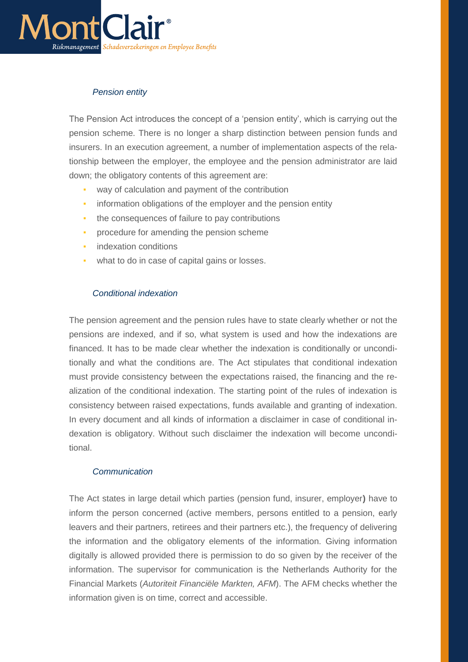

# *Pension entity*

The Pension Act introduces the concept of a 'pension entity', which is carrying out the pension scheme. There is no longer a sharp distinction between pension funds and insurers. In an execution agreement, a number of implementation aspects of the relationship between the employer, the employee and the pension administrator are laid down; the obligatory contents of this agreement are:

- way of calculation and payment of the contribution
- **•** information obligations of the employer and the pension entity
- **•** the consequences of failure to pay contributions
- **•** procedure for amending the pension scheme
- **•** indexation conditions
- what to do in case of capital gains or losses.

### *Conditional indexation*

The pension agreement and the pension rules have to state clearly whether or not the pensions are indexed, and if so, what system is used and how the indexations are financed. It has to be made clear whether the indexation is conditionally or unconditionally and what the conditions are. The Act stipulates that conditional indexation must provide consistency between the expectations raised, the financing and the realization of the conditional indexation. The starting point of the rules of indexation is consistency between raised expectations, funds available and granting of indexation. In every document and all kinds of information a disclaimer in case of conditional indexation is obligatory. Without such disclaimer the indexation will become unconditional.

## *Communication*

The Act states in large detail which parties (pension fund, insurer, employer**)** have to inform the person concerned (active members, persons entitled to a pension, early leavers and their partners, retirees and their partners etc.), the frequency of delivering the information and the obligatory elements of the information. Giving information digitally is allowed provided there is permission to do so given by the receiver of the information. The supervisor for communication is the Netherlands Authority for the Financial Markets (*Autoriteit Financiële Markten, AFM*). The AFM checks whether the information given is on time, correct and accessible.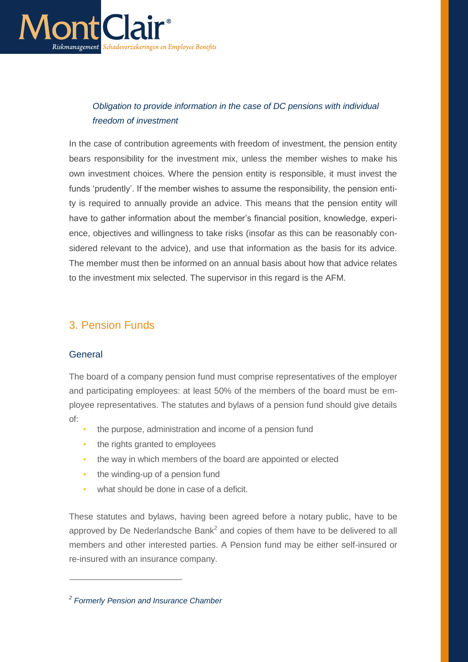

# *Obligation to provide information in the case of DC pensions with individual freedom of investment*

In the case of contribution agreements with freedom of investment, the pension entity bears responsibility for the investment mix, unless the member wishes to make his own investment choices. Where the pension entity is responsible, it must invest the funds 'prudently'. If the member wishes to assume the responsibility, the pension entity is required to annually provide an advice. This means that the pension entity will have to gather information about the member's financial position, knowledge, experience, objectives and willingness to take risks (insofar as this can be reasonably considered relevant to the advice), and use that information as the basis for its advice. The member must then be informed on an annual basis about how that advice relates to the investment mix selected. The supervisor in this regard is the AFM.

# 3. Pension Funds

## <span id="page-18-0"></span>**General**

 $\overline{a}$ 

The board of a company pension fund must comprise representatives of the employer and participating employees: at least 50% of the members of the board must be employee representatives. The statutes and bylaws of a pension fund should give details of:

- the purpose, administration and income of a pension fund
- **•** the rights granted to employees
- **•** the way in which members of the board are appointed or elected
- **•** the winding-up of a pension fund
- what should be done in case of a deficit.

These statutes and bylaws, having been agreed before a notary public, have to be approved by De Nederlandsche Bank<sup>2</sup> and copies of them have to be delivered to all members and other interested parties. A Pension fund may be either self-insured or re-insured with an insurance company.

*<sup>2</sup> Formerly Pension and Insurance Chamber*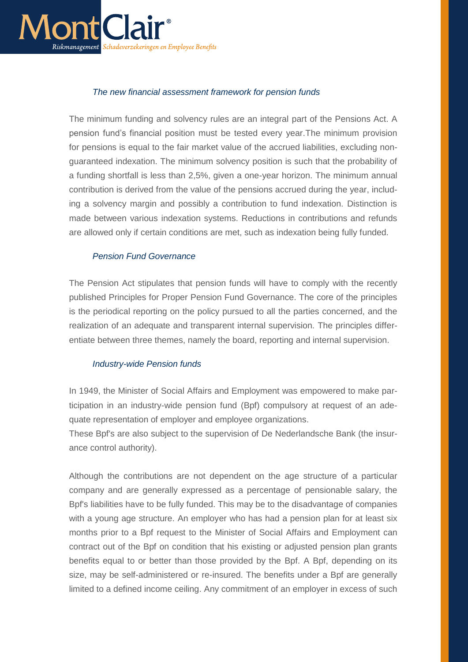

### *The new financial assessment framework for pension funds*

The minimum funding and solvency rules are an integral part of the Pensions Act. A pension fund's financial position must be tested every year.The minimum provision for pensions is equal to the fair market value of the accrued liabilities, excluding nonguaranteed indexation. The minimum solvency position is such that the probability of a funding shortfall is less than 2,5%, given a one-year horizon. The minimum annual contribution is derived from the value of the pensions accrued during the year, including a solvency margin and possibly a contribution to fund indexation. Distinction is made between various indexation systems. Reductions in contributions and refunds are allowed only if certain conditions are met, such as indexation being fully funded.

#### *Pension Fund Governance*

The Pension Act stipulates that pension funds will have to comply with the recently published Principles for Proper Pension Fund Governance. The core of the principles is the periodical reporting on the policy pursued to all the parties concerned, and the realization of an adequate and transparent internal supervision. The principles differentiate between three themes, namely the board, reporting and internal supervision.

#### *Industry-wide Pension funds*

In 1949, the Minister of Social Affairs and Employment was empowered to make participation in an industry-wide pension fund (Bpf) compulsory at request of an adequate representation of employer and employee organizations.

These Bpf's are also subject to the supervision of De Nederlandsche Bank (the insurance control authority).

Although the contributions are not dependent on the age structure of a particular company and are generally expressed as a percentage of pensionable salary, the Bpf's liabilities have to be fully funded. This may be to the disadvantage of companies with a young age structure. An employer who has had a pension plan for at least six months prior to a Bpf request to the Minister of Social Affairs and Employment can contract out of the Bpf on condition that his existing or adjusted pension plan grants benefits equal to or better than those provided by the Bpf. A Bpf, depending on its size, may be self-administered or re-insured. The benefits under a Bpf are generally limited to a defined income ceiling. Any commitment of an employer in excess of such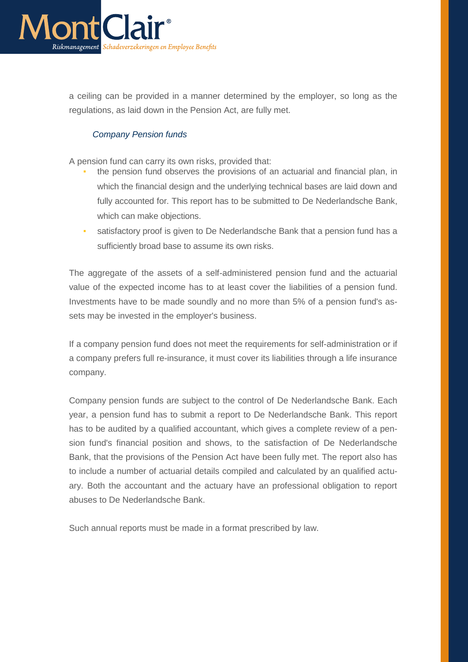

a ceiling can be provided in a manner determined by the employer, so long as the regulations, as laid down in the Pension Act, are fully met.

#### *Company Pension funds*

A pension fund can carry its own risks, provided that:

- the pension fund observes the provisions of an actuarial and financial plan, in which the financial design and the underlying technical bases are laid down and fully accounted for. This report has to be submitted to De Nederlandsche Bank, which can make objections.
- satisfactory proof is given to De Nederlandsche Bank that a pension fund has a sufficiently broad base to assume its own risks.

The aggregate of the assets of a self-administered pension fund and the actuarial value of the expected income has to at least cover the liabilities of a pension fund. Investments have to be made soundly and no more than 5% of a pension fund's assets may be invested in the employer's business.

If a company pension fund does not meet the requirements for self-administration or if a company prefers full re-insurance, it must cover its liabilities through a life insurance company.

Company pension funds are subject to the control of De Nederlandsche Bank. Each year, a pension fund has to submit a report to De Nederlandsche Bank. This report has to be audited by a qualified accountant, which gives a complete review of a pension fund's financial position and shows, to the satisfaction of De Nederlandsche Bank, that the provisions of the Pension Act have been fully met. The report also has to include a number of actuarial details compiled and calculated by an qualified actuary. Both the accountant and the actuary have an professional obligation to report abuses to De Nederlandsche Bank.

Such annual reports must be made in a format prescribed by law.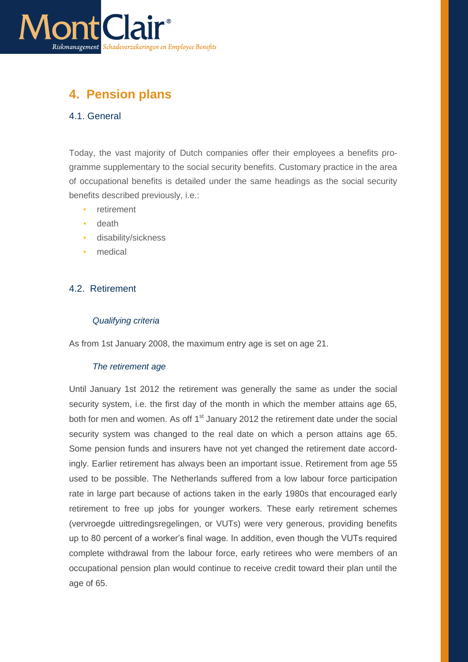

# <span id="page-21-0"></span>**4. Pension plans**

## <span id="page-21-1"></span>4.1. General

Today, the vast majority of Dutch companies offer their employees a benefits programme supplementary to the social security benefits. Customary practice in the area of occupational benefits is detailed under the same headings as the social security benefits described previously, i.e.:

- retirement
- death
- disability/sickness
- medical

## <span id="page-21-2"></span>4.2. Retirement

#### *Qualifying criteria*

As from 1st January 2008, the maximum entry age is set on age 21.

#### *The retirement age*

Until January 1st 2012 the retirement was generally the same as under the social security system, i.e. the first day of the month in which the member attains age 65, both for men and women. As off  $1<sup>st</sup>$  January 2012 the retirement date under the social security system was changed to the real date on which a person attains age 65. Some pension funds and insurers have not yet changed the retirement date accordingly. Earlier retirement has always been an important issue. Retirement from age 55 used to be possible. The Netherlands suffered from a low labour force participation rate in large part because of actions taken in the early 1980s that encouraged early retirement to free up jobs for younger workers. These early retirement schemes (vervroegde uittredingsregelingen, or VUTs) were very generous, providing benefits up to 80 percent of a worker's final wage. In addition, even though the VUTs required complete withdrawal from the labour force, early retirees who were members of an occupational pension plan would continue to receive credit toward their plan until the age of 65.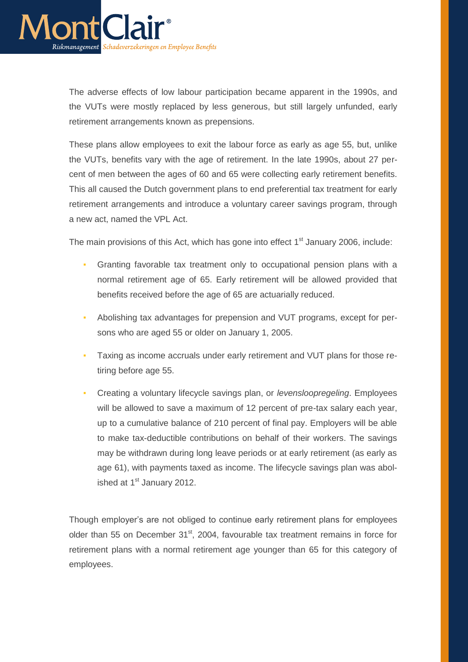

The adverse effects of low labour participation became apparent in the 1990s, and the VUTs were mostly replaced by less generous, but still largely unfunded, early retirement arrangements known as prepensions.

These plans allow employees to exit the labour force as early as age 55, but, unlike the VUTs, benefits vary with the age of retirement. In the late 1990s, about 27 percent of men between the ages of 60 and 65 were collecting early retirement benefits. This all caused the Dutch government plans to end preferential tax treatment for early retirement arrangements and introduce a voluntary career savings program, through a new act, named the VPL Act.

The main provisions of this Act, which has gone into effect  $1<sup>st</sup>$  January 2006, include:

- Granting favorable tax treatment only to occupational pension plans with a normal retirement age of 65. Early retirement will be allowed provided that benefits received before the age of 65 are actuarially reduced.
- Abolishing tax advantages for prepension and VUT programs, except for persons who are aged 55 or older on January 1, 2005.
- Taxing as income accruals under early retirement and VUT plans for those retiring before age 55.
- Creating a voluntary lifecycle savings plan, or *levensloopregeling*. Employees will be allowed to save a maximum of 12 percent of pre-tax salary each year, up to a cumulative balance of 210 percent of final pay. Employers will be able to make tax-deductible contributions on behalf of their workers. The savings may be withdrawn during long leave periods or at early retirement (as early as age 61), with payments taxed as income. The lifecycle savings plan was abolished at 1<sup>st</sup> January 2012.

Though employer's are not obliged to continue early retirement plans for employees older than 55 on December 31<sup>st</sup>, 2004, favourable tax treatment remains in force for retirement plans with a normal retirement age younger than 65 for this category of employees.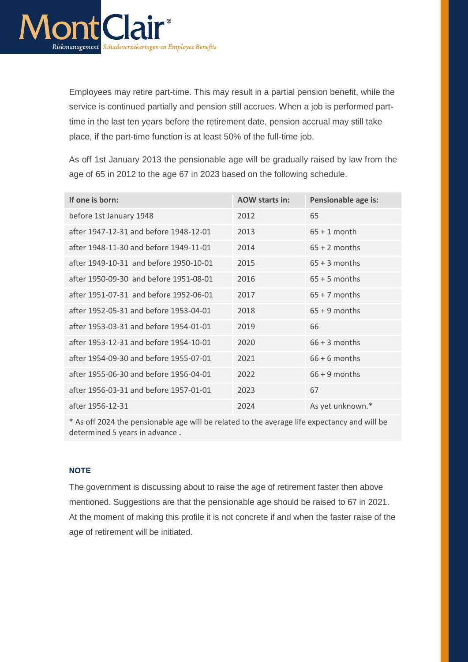

Employees may retire part-time. This may result in a partial pension benefit, while the service is continued partially and pension still accrues. When a job is performed parttime in the last ten years before the retirement date, pension accrual may still take place, if the part-time function is at least 50% of the full-time job.

As off 1st January 2013 the pensionable age will be gradually raised by law from the age of 65 in 2012 to the age 67 in 2023 based on the following schedule.

| If one is born:                        | <b>AOW starts in:</b> | Pensionable age is: |
|----------------------------------------|-----------------------|---------------------|
| before 1st January 1948                | 2012                  | 65                  |
| after 1947-12-31 and before 1948-12-01 | 2013                  | $65 + 1$ month      |
| after 1948-11-30 and before 1949-11-01 | 2014                  | $65 + 2$ months     |
| after 1949-10-31 and before 1950-10-01 | 2015                  | $65 + 3$ months     |
| after 1950-09-30 and before 1951-08-01 | 2016                  | $65 + 5$ months     |
| after 1951-07-31 and before 1952-06-01 | 2017                  | $65 + 7$ months     |
| after 1952-05-31 and before 1953-04-01 | 2018                  | $65 + 9$ months     |
| after 1953-03-31 and before 1954-01-01 | 2019                  | 66                  |
| after 1953-12-31 and before 1954-10-01 | 2020                  | $66 + 3$ months     |
| after 1954-09-30 and before 1955-07-01 | 2021                  | $66 + 6$ months     |
| after 1955-06-30 and before 1956-04-01 | 2022                  | $66 + 9$ months     |
| after 1956-03-31 and before 1957-01-01 | 2023                  | 67                  |
| after 1956-12-31                       | 2024                  | As yet unknown.*    |

\* As off 2024 the pensionable age will be related to the average life expectancy and will be determined 5 years in advance .

#### <span id="page-23-0"></span>**NOTE**

The government is discussing about to raise the age of retirement faster then above mentioned. Suggestions are that the pensionable age should be raised to 67 in 2021. At the moment of making this profile it is not concrete if and when the faster raise of the age of retirement will be initiated.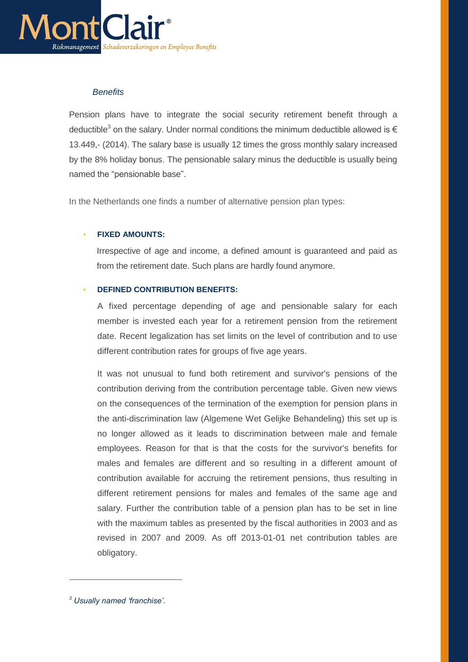

### *Benefits*

Pension plans have to integrate the social security retirement benefit through a deductible<sup>3</sup> on the salary. Under normal conditions the minimum deductible allowed is  $\epsilon$ 13.449,- (2014). The salary base is usually 12 times the gross monthly salary increased by the 8% holiday bonus. The pensionable salary minus the deductible is usually being named the "pensionable base".

In the Netherlands one finds a number of alternative pension plan types:

#### <span id="page-24-0"></span>**FIXED AMOUNTS:**

Irrespective of age and income, a defined amount is guaranteed and paid as from the retirement date. Such plans are hardly found anymore.

#### <span id="page-24-1"></span>▪ **DEFINED CONTRIBUTION BENEFITS:**

A fixed percentage depending of age and pensionable salary for each member is invested each year for a retirement pension from the retirement date. Recent legalization has set limits on the level of contribution and to use different contribution rates for groups of five age years.

It was not unusual to fund both retirement and survivor's pensions of the contribution deriving from the contribution percentage table. Given new views on the consequences of the termination of the exemption for pension plans in the anti-discrimination law (Algemene Wet Gelijke Behandeling) this set up is no longer allowed as it leads to discrimination between male and female employees. Reason for that is that the costs for the survivor's benefits for males and females are different and so resulting in a different amount of contribution available for accruing the retirement pensions, thus resulting in different retirement pensions for males and females of the same age and salary. Further the contribution table of a pension plan has to be set in line with the maximum tables as presented by the fiscal authorities in 2003 and as revised in 2007 and 2009. As off 2013-01-01 net contribution tables are obligatory.

 $\overline{a}$ 

*<sup>3</sup> Usually named 'franchise'.*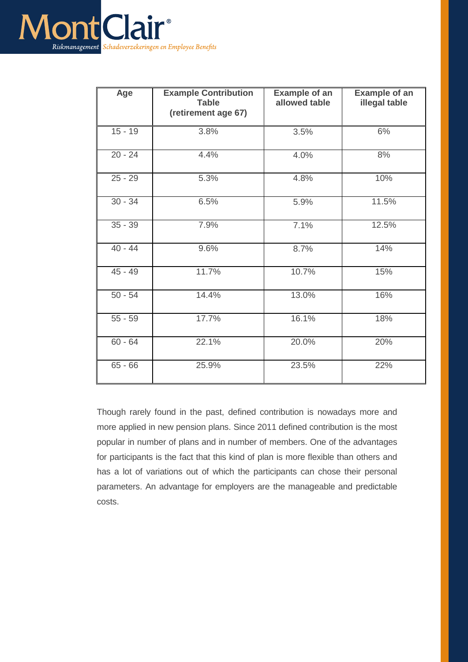

| Age       | <b>Example Contribution</b><br><b>Table</b><br>(retirement age 67) | <b>Example of an</b><br>allowed table | <b>Example of an</b><br>illegal table |
|-----------|--------------------------------------------------------------------|---------------------------------------|---------------------------------------|
| $15 - 19$ | 3.8%                                                               | 3.5%                                  | 6%                                    |
| $20 - 24$ | 4.4%                                                               | 4.0%                                  | 8%                                    |
| $25 - 29$ | 5.3%                                                               | 4.8%                                  | 10%                                   |
| $30 - 34$ | 6.5%                                                               | 5.9%                                  | 11.5%                                 |
| $35 - 39$ | 7.9%                                                               | 7.1%                                  | 12.5%                                 |
| $40 - 44$ | 9.6%                                                               | 8.7%                                  | 14%                                   |
| $45 - 49$ | 11.7%                                                              | 10.7%                                 | 15%                                   |
| $50 - 54$ | 14.4%                                                              | 13.0%                                 | 16%                                   |
| $55 - 59$ | 17.7%                                                              | 16.1%                                 | 18%                                   |
| $60 - 64$ | 22.1%                                                              | 20.0%                                 | 20%                                   |
| $65 - 66$ | 25.9%                                                              | 23.5%                                 | 22%                                   |

Though rarely found in the past, defined contribution is nowadays more and more applied in new pension plans. Since 2011 defined contribution is the most popular in number of plans and in number of members. One of the advantages for participants is the fact that this kind of plan is more flexible than others and has a lot of variations out of which the participants can chose their personal parameters. An advantage for employers are the manageable and predictable costs.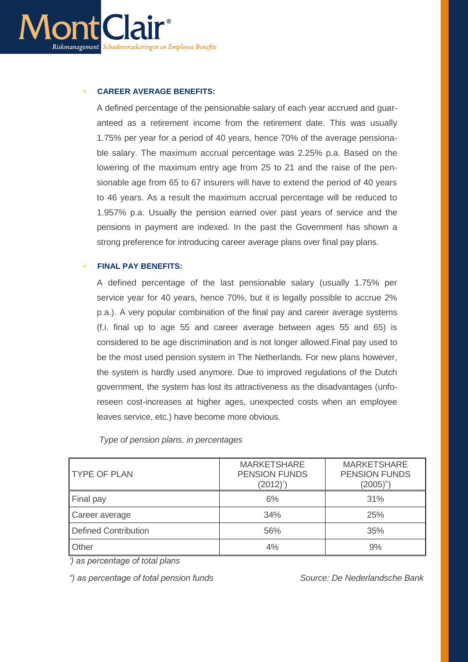

#### <span id="page-26-0"></span>**CAREER AVERAGE BENEFITS:**

A defined percentage of the pensionable salary of each year accrued and guaranteed as a retirement income from the retirement date. This was usually 1.75% per year for a period of 40 years, hence 70% of the average pensionable salary. The maximum accrual percentage was 2.25% p.a. Based on the lowering of the maximum entry age from 25 to 21 and the raise of the pensionable age from 65 to 67 insurers will have to extend the period of 40 years to 46 years. As a result the maximum accrual percentage will be reduced to 1.957% p.a. Usually the pension earned over past years of service and the pensions in payment are indexed. In the past the Government has shown a strong preference for introducing career average plans over final pay plans.

#### <span id="page-26-1"></span>**FINAL PAY BENEFITS:**

A defined percentage of the last pensionable salary (usually 1.75% per service year for 40 years, hence 70%, but it is legally possible to accrue 2% p.a.). A very popular combination of the final pay and career average systems (f.i. final up to age 55 and career average between ages 55 and 65) is considered to be age discrimination and is not longer allowed.Final pay used to be the most used pension system in The Netherlands. For new plans however, the system is hardly used anymore. Due to improved regulations of the Dutch government, the system has lost its attractiveness as the disadvantages (unforeseen cost-increases at higher ages, unexpected costs when an employee leaves service, etc.) have become more obvious.

#### *Type of pension plans, in percentages*

| <b>TYPE OF PLAN</b>  | <b>MARKETSHARE</b><br><b>PENSION FUNDS</b><br>(2012)' | <b>MARKETSHARE</b><br><b>PENSION FUNDS</b><br>$(2005)$ ") |
|----------------------|-------------------------------------------------------|-----------------------------------------------------------|
| <b>Final pay</b>     | 6%                                                    | 31%                                                       |
| Career average       | 34%                                                   | 25%                                                       |
| Defined Contribution | 56%                                                   | 35%                                                       |
| <b>Other</b>         | 4%                                                    | 9%                                                        |

*') as percentage of total plans*

*") as percentage of total pension funds Source: De Nederlandsche Bank*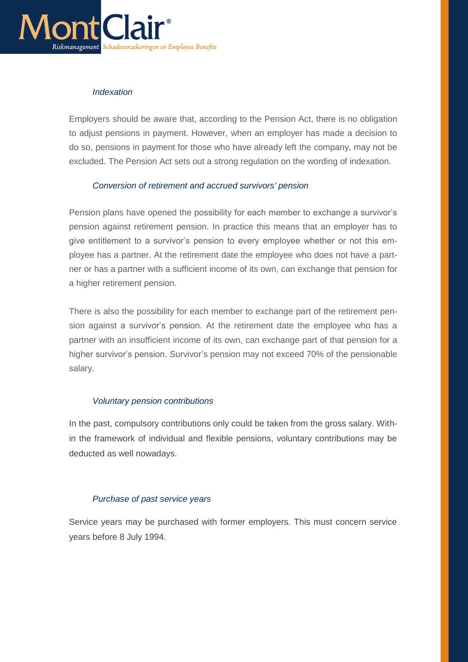

### *Indexation*

Employers should be aware that, according to the Pension Act, there is no obligation to adjust pensions in payment. However, when an employer has made a decision to do so, pensions in payment for those who have already left the company, may not be excluded. The Pension Act sets out a strong regulation on the wording of indexation.

### *Conversion of retirement and accrued survivors' pension*

Pension plans have opened the possibility for each member to exchange a survivor's pension against retirement pension. In practice this means that an employer has to give entitlement to a survivor's pension to every employee whether or not this employee has a partner. At the retirement date the employee who does not have a partner or has a partner with a sufficient income of its own, can exchange that pension for a higher retirement pension.

There is also the possibility for each member to exchange part of the retirement pension against a survivor's pension. At the retirement date the employee who has a partner with an insufficient income of its own, can exchange part of that pension for a higher survivor's pension. Survivor's pension may not exceed 70% of the pensionable salary.

#### *Voluntary pension contributions*

In the past, compulsory contributions only could be taken from the gross salary. Within the framework of individual and flexible pensions, voluntary contributions may be deducted as well nowadays.

## *Purchase of past service years*

Service years may be purchased with former employers. This must concern service years before 8 July 1994.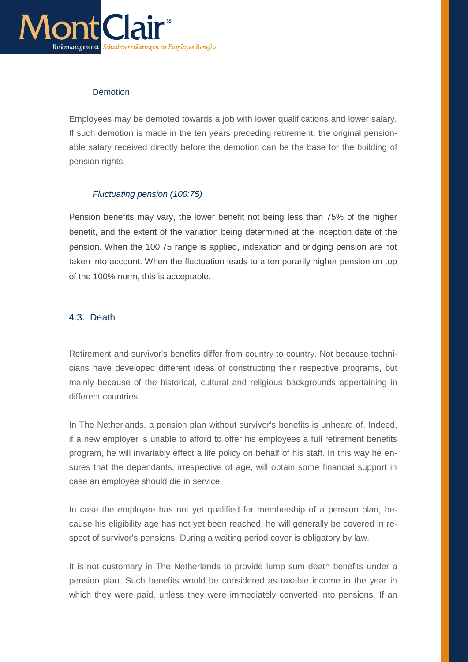

### **Demotion**

Employees may be demoted towards a job with lower qualifications and lower salary. If such demotion is made in the ten years preceding retirement, the original pensionable salary received directly before the demotion can be the base for the building of pension rights.

## *Fluctuating pension (100:75)*

Pension benefits may vary, the lower benefit not being less than 75% of the higher benefit, and the extent of the variation being determined at the inception date of the pension. When the 100:75 range is applied, indexation and bridging pension are not taken into account. When the fluctuation leads to a temporarily higher pension on top of the 100% norm, this is acceptable.

### <span id="page-28-0"></span>4.3. Death

Retirement and survivor's benefits differ from country to country. Not because technicians have developed different ideas of constructing their respective programs, but mainly because of the historical, cultural and religious backgrounds appertaining in different countries.

In The Netherlands, a pension plan without survivor's benefits is unheard of. Indeed, if a new employer is unable to afford to offer his employees a full retirement benefits program, he will invariably effect a life policy on behalf of his staff. In this way he ensures that the dependants, irrespective of age, will obtain some financial support in case an employee should die in service.

In case the employee has not yet qualified for membership of a pension plan, because his eligibility age has not yet been reached, he will generally be covered in respect of survivor's pensions. During a waiting period cover is obligatory by law.

It is not customary in The Netherlands to provide lump sum death benefits under a pension plan. Such benefits would be considered as taxable income in the year in which they were paid, unless they were immediately converted into pensions. If an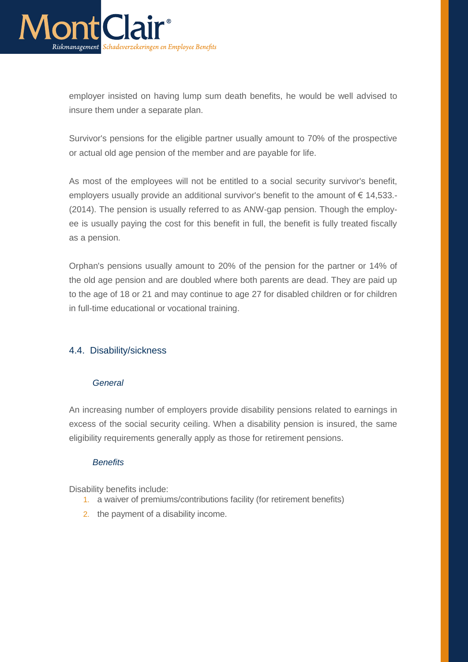

employer insisted on having lump sum death benefits, he would be well advised to insure them under a separate plan.

Survivor's pensions for the eligible partner usually amount to 70% of the prospective or actual old age pension of the member and are payable for life.

As most of the employees will not be entitled to a social security survivor's benefit, employers usually provide an additional survivor's benefit to the amount of € 14,533.- (2014). The pension is usually referred to as ANW-gap pension. Though the employee is usually paying the cost for this benefit in full, the benefit is fully treated fiscally as a pension.

Orphan's pensions usually amount to 20% of the pension for the partner or 14% of the old age pension and are doubled where both parents are dead. They are paid up to the age of 18 or 21 and may continue to age 27 for disabled children or for children in full-time educational or vocational training.

## <span id="page-29-0"></span>4.4. Disability/sickness

#### *General*

An increasing number of employers provide disability pensions related to earnings in excess of the social security ceiling. When a disability pension is insured, the same eligibility requirements generally apply as those for retirement pensions.

#### *Benefits*

Disability benefits include:

- 1. a waiver of premiums/contributions facility (for retirement benefits)
- 2. the payment of a disability income.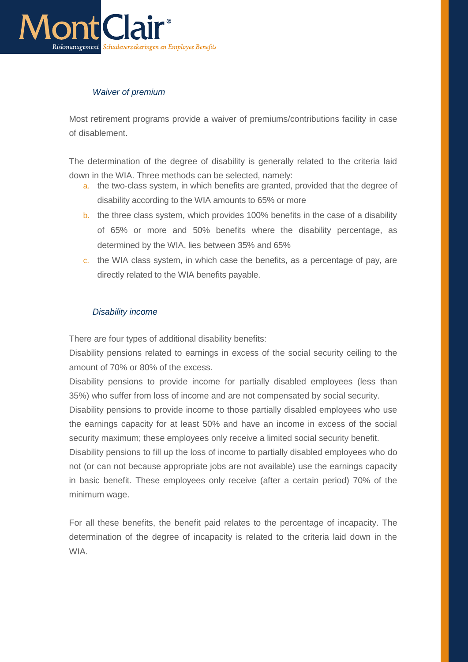

# *Waiver of premium*

Most retirement programs provide a waiver of premiums/contributions facility in case of disablement.

The determination of the degree of disability is generally related to the criteria laid down in the WIA. Three methods can be selected, namely:

- a. the two-class system, in which benefits are granted, provided that the degree of disability according to the WIA amounts to 65% or more
- b. the three class system, which provides 100% benefits in the case of a disability of 65% or more and 50% benefits where the disability percentage, as determined by the WIA, lies between 35% and 65%
- c. the WIA class system, in which case the benefits, as a percentage of pay, are directly related to the WIA benefits payable.

### *Disability income*

There are four types of additional disability benefits:

Disability pensions related to earnings in excess of the social security ceiling to the amount of 70% or 80% of the excess.

Disability pensions to provide income for partially disabled employees (less than 35%) who suffer from loss of income and are not compensated by social security.

Disability pensions to provide income to those partially disabled employees who use the earnings capacity for at least 50% and have an income in excess of the social security maximum; these employees only receive a limited social security benefit.

Disability pensions to fill up the loss of income to partially disabled employees who do not (or can not because appropriate jobs are not available) use the earnings capacity in basic benefit. These employees only receive (after a certain period) 70% of the minimum wage.

For all these benefits, the benefit paid relates to the percentage of incapacity. The determination of the degree of incapacity is related to the criteria laid down in the WIA.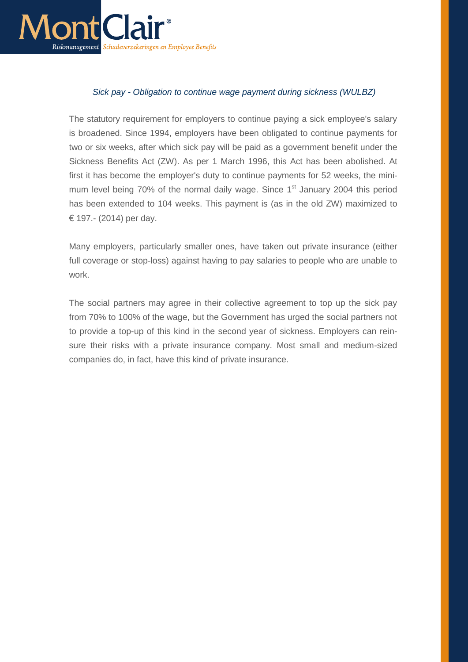

### *Sick pay - Obligation to continue wage payment during sickness (WULBZ)*

The statutory requirement for employers to continue paying a sick employee's salary is broadened. Since 1994, employers have been obligated to continue payments for two or six weeks, after which sick pay will be paid as a government benefit under the Sickness Benefits Act (ZW). As per 1 March 1996, this Act has been abolished. At first it has become the employer's duty to continue payments for 52 weeks, the minimum level being 70% of the normal daily wage. Since 1<sup>st</sup> January 2004 this period has been extended to 104 weeks. This payment is (as in the old ZW) maximized to € 197.- (2014) per day.

Many employers, particularly smaller ones, have taken out private insurance (either full coverage or stop-loss) against having to pay salaries to people who are unable to work.

The social partners may agree in their collective agreement to top up the sick pay from 70% to 100% of the wage, but the Government has urged the social partners not to provide a top-up of this kind in the second year of sickness. Employers can reinsure their risks with a private insurance company. Most small and medium-sized companies do, in fact, have this kind of private insurance.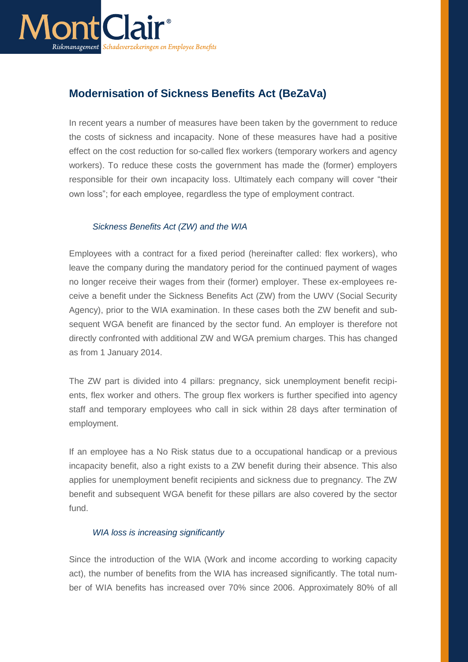

# **Modernisation of Sickness Benefits Act (BeZaVa)**

In recent years a number of measures have been taken by the government to reduce the costs of sickness and incapacity. None of these measures have had a positive effect on the cost reduction for so-called flex workers (temporary workers and agency workers). To reduce these costs the government has made the (former) employers responsible for their own incapacity loss. Ultimately each company will cover "their own loss"; for each employee, regardless the type of employment contract.

## *Sickness Benefits Act (ZW) and the WIA*

Employees with a contract for a fixed period (hereinafter called: flex workers), who leave the company during the mandatory period for the continued payment of wages no longer receive their wages from their (former) employer. These ex-employees receive a benefit under the Sickness Benefits Act (ZW) from the UWV (Social Security Agency), prior to the WIA examination. In these cases both the ZW benefit and subsequent WGA benefit are financed by the sector fund. An employer is therefore not directly confronted with additional ZW and WGA premium charges. This has changed as from 1 January 2014.

The ZW part is divided into 4 pillars: pregnancy, sick unemployment benefit recipients, flex worker and others. The group flex workers is further specified into agency staff and temporary employees who call in sick within 28 days after termination of employment.

If an employee has a No Risk status due to a occupational handicap or a previous incapacity benefit, also a right exists to a ZW benefit during their absence. This also applies for unemployment benefit recipients and sickness due to pregnancy. The ZW benefit and subsequent WGA benefit for these pillars are also covered by the sector fund.

#### *WIA loss is increasing significantly*

Since the introduction of the WIA (Work and income according to working capacity act), the number of benefits from the WIA has increased significantly. The total number of WIA benefits has increased over 70% since 2006. Approximately 80% of all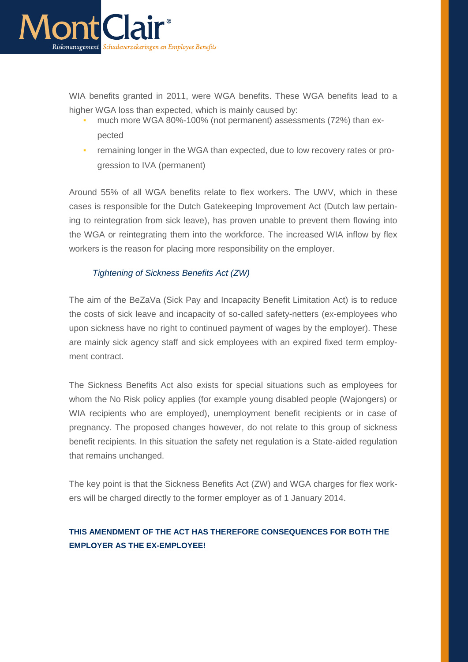

WIA benefits granted in 2011, were WGA benefits. These WGA benefits lead to a higher WGA loss than expected, which is mainly caused by:

- much more WGA 80%-100% (not permanent) assessments (72%) than expected
- remaining longer in the WGA than expected, due to low recovery rates or progression to IVA (permanent)

Around 55% of all WGA benefits relate to flex workers. The UWV, which in these cases is responsible for the Dutch Gatekeeping Improvement Act (Dutch law pertaining to reintegration from sick leave), has proven unable to prevent them flowing into the WGA or reintegrating them into the workforce. The increased WIA inflow by flex workers is the reason for placing more responsibility on the employer.

## *Tightening of Sickness Benefits Act (ZW)*

The aim of the BeZaVa (Sick Pay and Incapacity Benefit Limitation Act) is to reduce the costs of sick leave and incapacity of so-called safety-netters (ex-employees who upon sickness have no right to continued payment of wages by the employer). These are mainly sick agency staff and sick employees with an expired fixed term employment contract.

The Sickness Benefits Act also exists for special situations such as employees for whom the No Risk policy applies (for example young disabled people (Wajongers) or WIA recipients who are employed), unemployment benefit recipients or in case of pregnancy. The proposed changes however, do not relate to this group of sickness benefit recipients. In this situation the safety net regulation is a State-aided regulation that remains unchanged.

The key point is that the Sickness Benefits Act (ZW) and WGA charges for flex workers will be charged directly to the former employer as of 1 January 2014.

# <span id="page-33-0"></span>**THIS AMENDMENT OF THE ACT HAS THEREFORE CONSEQUENCES FOR BOTH THE EMPLOYER AS THE EX-EMPLOYEE!**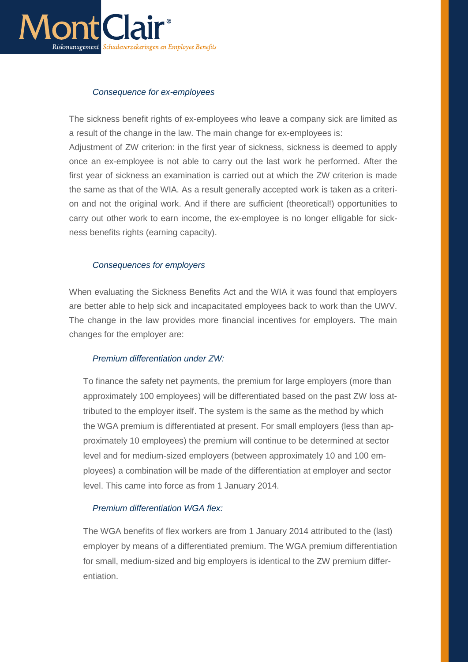

#### *Consequence for ex-employees*

The sickness benefit rights of ex-employees who leave a company sick are limited as a result of the change in the law. The main change for ex-employees is:

Adjustment of ZW criterion: in the first year of sickness, sickness is deemed to apply once an ex-employee is not able to carry out the last work he performed. After the first year of sickness an examination is carried out at which the ZW criterion is made the same as that of the WIA. As a result generally accepted work is taken as a criterion and not the original work. And if there are sufficient (theoretical!) opportunities to carry out other work to earn income, the ex-employee is no longer elligable for sickness benefits rights (earning capacity).

#### *Consequences for employers*

When evaluating the Sickness Benefits Act and the WIA it was found that employers are better able to help sick and incapacitated employees back to work than the UWV. The change in the law provides more financial incentives for employers. The main changes for the employer are:

#### *Premium differentiation under ZW:*

To finance the safety net payments, the premium for large employers (more than approximately 100 employees) will be differentiated based on the past ZW loss attributed to the employer itself. The system is the same as the method by which the WGA premium is differentiated at present. For small employers (less than approximately 10 employees) the premium will continue to be determined at sector level and for medium-sized employers (between approximately 10 and 100 employees) a combination will be made of the differentiation at employer and sector level. This came into force as from 1 January 2014.

#### *Premium differentiation WGA flex:*

The WGA benefits of flex workers are from 1 January 2014 attributed to the (last) employer by means of a differentiated premium. The WGA premium differentiation for small, medium-sized and big employers is identical to the ZW premium differentiation.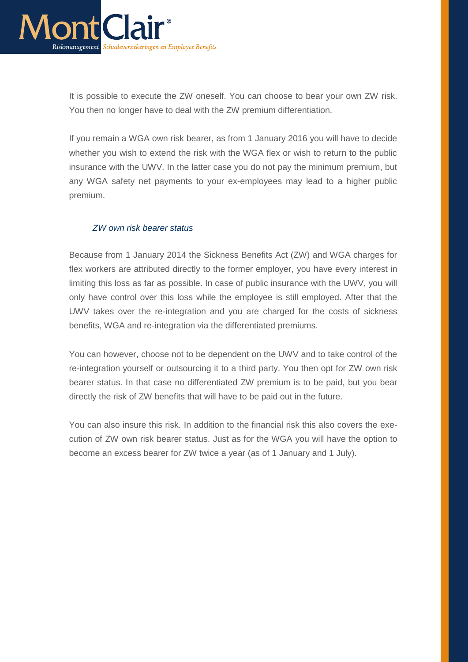

It is possible to execute the ZW oneself. You can choose to bear your own ZW risk. You then no longer have to deal with the ZW premium differentiation.

If you remain a WGA own risk bearer, as from 1 January 2016 you will have to decide whether you wish to extend the risk with the WGA flex or wish to return to the public insurance with the UWV. In the latter case you do not pay the minimum premium, but any WGA safety net payments to your ex-employees may lead to a higher public premium.

#### *ZW own risk bearer status*

Because from 1 January 2014 the Sickness Benefits Act (ZW) and WGA charges for flex workers are attributed directly to the former employer, you have every interest in limiting this loss as far as possible. In case of public insurance with the UWV, you will only have control over this loss while the employee is still employed. After that the UWV takes over the re-integration and you are charged for the costs of sickness benefits, WGA and re-integration via the differentiated premiums.

You can however, choose not to be dependent on the UWV and to take control of the re-integration yourself or outsourcing it to a third party. You then opt for ZW own risk bearer status. In that case no differentiated ZW premium is to be paid, but you bear directly the risk of ZW benefits that will have to be paid out in the future.

You can also insure this risk. In addition to the financial risk this also covers the execution of ZW own risk bearer status. Just as for the WGA you will have the option to become an excess bearer for ZW twice a year (as of 1 January and 1 July).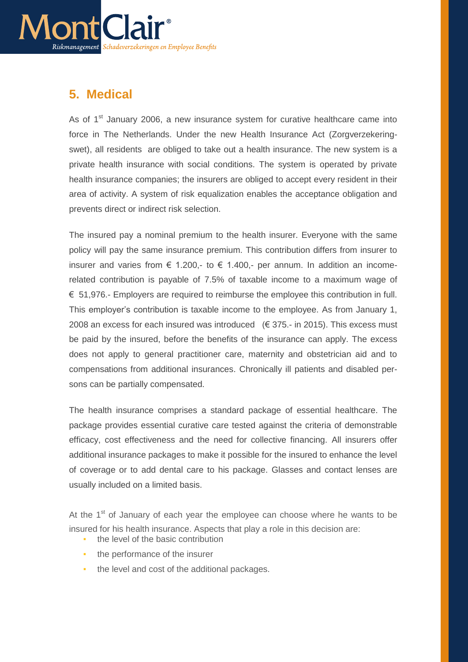

# <span id="page-36-0"></span>**5. Medical**

As of  $1<sup>st</sup>$  January 2006, a new insurance system for curative healthcare came into force in The Netherlands. Under the new Health Insurance Act (Zorgverzekeringswet), all residents are obliged to take out a health insurance. The new system is a private health insurance with social conditions. The system is operated by private health insurance companies; the insurers are obliged to accept every resident in their area of activity. A system of risk equalization enables the acceptance obligation and prevents direct or indirect risk selection.

The insured pay a nominal premium to the health insurer. Everyone with the same policy will pay the same insurance premium. This contribution differs from insurer to insurer and varies from  $\epsilon$  1.200,- to  $\epsilon$  1.400,- per annum. In addition an incomerelated contribution is payable of 7.5% of taxable income to a maximum wage of € 51,976.- Employers are required to reimburse the employee this contribution in full. This employer's contribution is taxable income to the employee. As from January 1, 2008 an excess for each insured was introduced  $(\in$  375.- in 2015). This excess must be paid by the insured, before the benefits of the insurance can apply. The excess does not apply to general practitioner care, maternity and obstetrician aid and to compensations from additional insurances. Chronically ill patients and disabled persons can be partially compensated.

The health insurance comprises a standard package of essential healthcare. The package provides essential curative care tested against the criteria of demonstrable efficacy, cost effectiveness and the need for collective financing. All insurers offer additional insurance packages to make it possible for the insured to enhance the level of coverage or to add dental care to his package. Glasses and contact lenses are usually included on a limited basis.

At the  $1<sup>st</sup>$  of January of each year the employee can choose where he wants to be insured for his health insurance. Aspects that play a role in this decision are:

- **•** the level of the basic contribution
- the performance of the insurer
- the level and cost of the additional packages.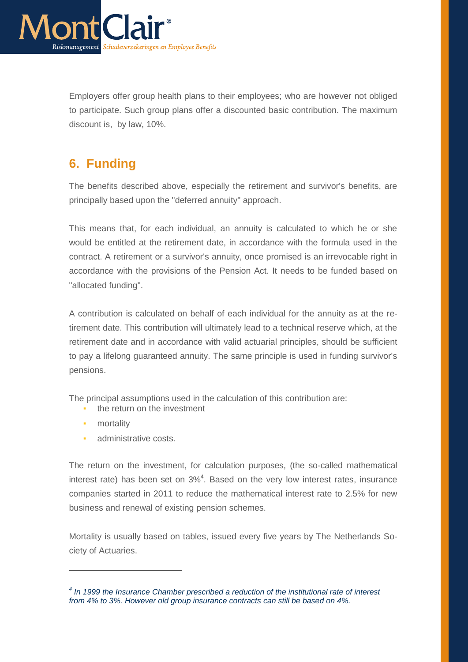

Employers offer group health plans to their employees; who are however not obliged to participate. Such group plans offer a discounted basic contribution. The maximum discount is, by law, 10%.

# <span id="page-37-0"></span>**6. Funding**

The benefits described above, especially the retirement and survivor's benefits, are principally based upon the "deferred annuity" approach.

This means that, for each individual, an annuity is calculated to which he or she would be entitled at the retirement date, in accordance with the formula used in the contract. A retirement or a survivor's annuity, once promised is an irrevocable right in accordance with the provisions of the Pension Act. It needs to be funded based on "allocated funding".

A contribution is calculated on behalf of each individual for the annuity as at the retirement date. This contribution will ultimately lead to a technical reserve which, at the retirement date and in accordance with valid actuarial principles, should be sufficient to pay a lifelong guaranteed annuity. The same principle is used in funding survivor's pensions.

The principal assumptions used in the calculation of this contribution are:

- **•** the return on the investment
- **•** mortality

 $\overline{a}$ 

administrative costs.

The return on the investment, for calculation purposes, (the so-called mathematical interest rate) has been set on  $3\%$ <sup>4</sup>. Based on the very low interest rates, insurance companies started in 2011 to reduce the mathematical interest rate to 2.5% for new business and renewal of existing pension schemes.

Mortality is usually based on tables, issued every five years by The Netherlands Society of Actuaries.

*<sup>4</sup> In 1999 the Insurance Chamber prescribed a reduction of the institutional rate of interest from 4% to 3%. However old group insurance contracts can still be based on 4%.*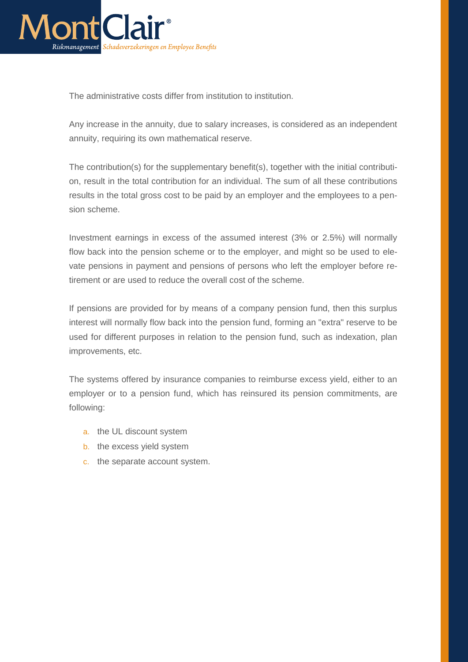

The administrative costs differ from institution to institution.

Any increase in the annuity, due to salary increases, is considered as an independent annuity, requiring its own mathematical reserve.

The contribution(s) for the supplementary benefit(s), together with the initial contribution, result in the total contribution for an individual. The sum of all these contributions results in the total gross cost to be paid by an employer and the employees to a pension scheme.

Investment earnings in excess of the assumed interest (3% or 2.5%) will normally flow back into the pension scheme or to the employer, and might so be used to elevate pensions in payment and pensions of persons who left the employer before retirement or are used to reduce the overall cost of the scheme.

If pensions are provided for by means of a company pension fund, then this surplus interest will normally flow back into the pension fund, forming an "extra" reserve to be used for different purposes in relation to the pension fund, such as indexation, plan improvements, etc.

The systems offered by insurance companies to reimburse excess yield, either to an employer or to a pension fund, which has reinsured its pension commitments, are following:

- a. the UL discount system
- b. the excess yield system
- c. the separate account system.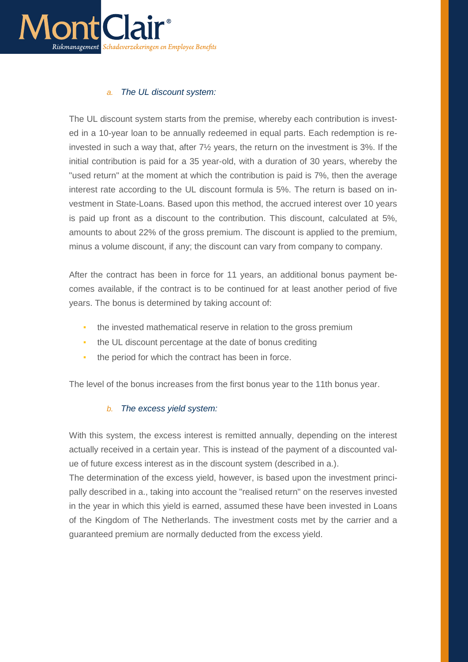

#### *a. The UL discount system:*

The UL discount system starts from the premise, whereby each contribution is invested in a 10-year loan to be annually redeemed in equal parts. Each redemption is reinvested in such a way that, after 7½ years, the return on the investment is 3%. If the initial contribution is paid for a 35 year-old, with a duration of 30 years, whereby the "used return" at the moment at which the contribution is paid is 7%, then the average interest rate according to the UL discount formula is 5%. The return is based on investment in State-Loans. Based upon this method, the accrued interest over 10 years is paid up front as a discount to the contribution. This discount, calculated at 5%, amounts to about 22% of the gross premium. The discount is applied to the premium, minus a volume discount, if any; the discount can vary from company to company.

After the contract has been in force for 11 years, an additional bonus payment becomes available, if the contract is to be continued for at least another period of five years. The bonus is determined by taking account of:

- **•** the invested mathematical reserve in relation to the gross premium
- the UL discount percentage at the date of bonus crediting
- the period for which the contract has been in force.

The level of the bonus increases from the first bonus year to the 11th bonus year.

#### *b. The excess yield system:*

With this system, the excess interest is remitted annually, depending on the interest actually received in a certain year. This is instead of the payment of a discounted value of future excess interest as in the discount system (described in a.).

The determination of the excess yield, however, is based upon the investment principally described in a., taking into account the "realised return" on the reserves invested in the year in which this yield is earned, assumed these have been invested in Loans of the Kingdom of The Netherlands. The investment costs met by the carrier and a guaranteed premium are normally deducted from the excess yield.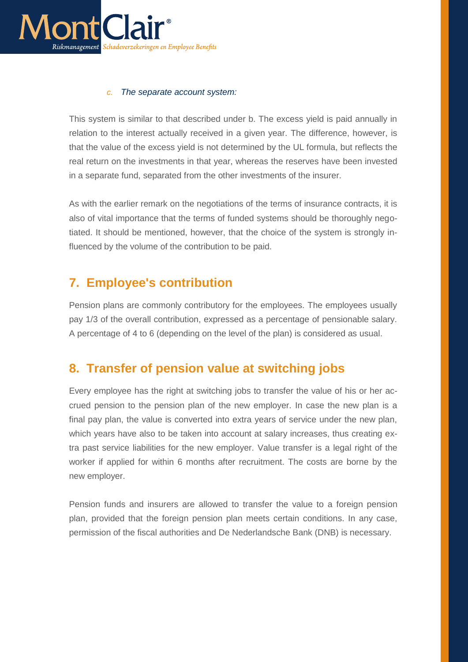

#### *c. The separate account system:*

This system is similar to that described under b. The excess yield is paid annually in relation to the interest actually received in a given year. The difference, however, is that the value of the excess yield is not determined by the UL formula, but reflects the real return on the investments in that year, whereas the reserves have been invested in a separate fund, separated from the other investments of the insurer.

As with the earlier remark on the negotiations of the terms of insurance contracts, it is also of vital importance that the terms of funded systems should be thoroughly negotiated. It should be mentioned, however, that the choice of the system is strongly influenced by the volume of the contribution to be paid.

# <span id="page-40-0"></span>**7. Employee's contribution**

Pension plans are commonly contributory for the employees. The employees usually pay 1/3 of the overall contribution, expressed as a percentage of pensionable salary. A percentage of 4 to 6 (depending on the level of the plan) is considered as usual.

# <span id="page-40-1"></span>**8. Transfer of pension value at switching jobs**

Every employee has the right at switching jobs to transfer the value of his or her accrued pension to the pension plan of the new employer. In case the new plan is a final pay plan, the value is converted into extra years of service under the new plan, which years have also to be taken into account at salary increases, thus creating extra past service liabilities for the new employer. Value transfer is a legal right of the worker if applied for within 6 months after recruitment. The costs are borne by the new employer.

Pension funds and insurers are allowed to transfer the value to a foreign pension plan, provided that the foreign pension plan meets certain conditions. In any case, permission of the fiscal authorities and De Nederlandsche Bank (DNB) is necessary.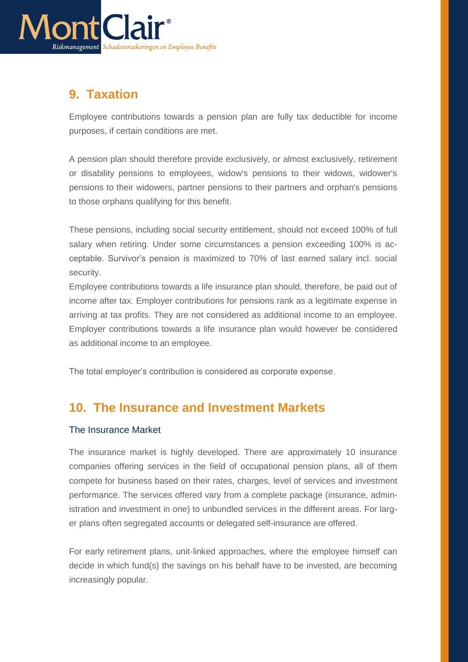

# <span id="page-41-0"></span>**9. Taxation**

Employee contributions towards a pension plan are fully tax deductible for income purposes, if certain conditions are met.

A pension plan should therefore provide exclusively, or almost exclusively, retirement or disability pensions to employees, widow's pensions to their widows, widower's pensions to their widowers, partner pensions to their partners and orphan's pensions to those orphans qualifying for this benefit.

These pensions, including social security entitlement, should not exceed 100% of full salary when retiring. Under some circumstances a pension exceeding 100% is acceptable. Survivor's pension is maximized to 70% of last earned salary incl. social security.

Employee contributions towards a life insurance plan should, therefore, be paid out of income after tax. Employer contributions for pensions rank as a legitimate expense in arriving at tax profits. They are not considered as additional income to an employee. Employer contributions towards a life insurance plan would however be considered as additional income to an employee.

The total employer's contribution is considered as corporate expense.

# <span id="page-41-1"></span>**10. The Insurance and Investment Markets**

## <span id="page-41-2"></span>The Insurance Market

The insurance market is highly developed. There are approximately 10 insurance companies offering services in the field of occupational pension plans, all of them compete for business based on their rates, charges, level of services and investment performance. The services offered vary from a complete package (insurance, administration and investment in one) to unbundled services in the different areas. For larger plans often segregated accounts or delegated self-insurance are offered.

For early retirement plans, unit-linked approaches, where the employee himself can decide in which fund(s) the savings on his behalf have to be invested, are becoming increasingly popular.